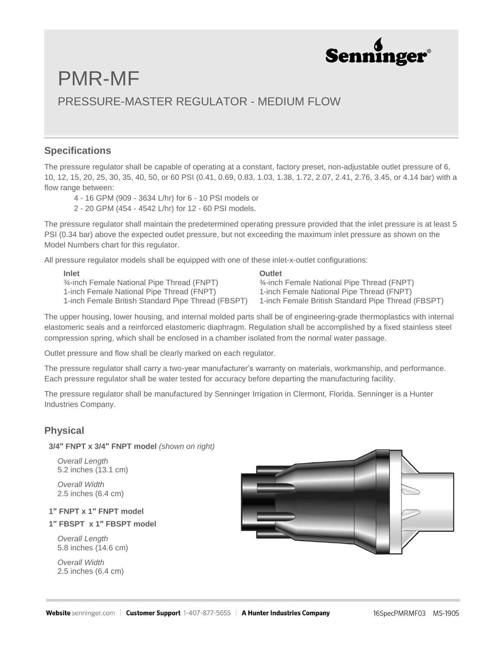

# PMR-MF PRESSURE-MASTER REGULATOR - MEDIUM FLOW

#### **Specifications**

The pressure regulator shall be capable of operating at a constant, factory preset, non-adjustable outlet pressure of 6, 10, 12, 15, 20, 25, 30, 35, 40, 50, or 60 PSI (0.41, 0.69, 0.83, 1.03, 1.38, 1.72, 2.07, 2.41, 2.76, 3.45, or 4.14 bar) with a flow range between:

- 4 16 GPM (909 3634 L/hr) for 6 10 PSI models or
- 2 20 GPM (454 4542 L/hr) for 12 60 PSI models.

The pressure regulator shall maintain the predetermined operating pressure provided that the inlet pressure is at least 5 PSI (0.34 bar) above the expected outlet pressure, but not exceeding the maximum inlet pressure as shown on the Model Numbers chart for this regulator.

All pressure regulator models shall be equipped with one of these inlet-x-outlet configurations:

**Inlet** ¾-inch Female National Pipe Thread (FNPT) 1-inch Female National Pipe Thread (FNPT) 1-inch Female British Standard Pipe Thread (FBSPT) 1-inch Female British Standard Pipe Thread (FBSPT)

#### **Outlet**

¾-inch Female National Pipe Thread (FNPT) 1-inch Female National Pipe Thread (FNPT)

The upper housing, lower housing, and internal molded parts shall be of engineering-grade thermoplastics with internal elastomeric seals and a reinforced elastomeric diaphragm. Regulation shall be accomplished by a fixed stainless steel compression spring, which shall be enclosed in a chamber isolated from the normal water passage.

Outlet pressure and flow shall be clearly marked on each regulator.

The pressure regulator shall carry a two-year manufacturer's warranty on materials, workmanship, and performance. Each pressure regulator shall be water tested for accuracy before departing the manufacturing facility.

The pressure regulator shall be manufactured by Senninger Irrigation in Clermont, Florida. Senninger is a Hunter Industries Company.

### **Physical**

**3/4″ FNPT x 3/4″ FNPT model** *(shown on right)*

 *Overall Length* 5.2 inches (13.1 cm)

 *Overall Width* 2.5 inches (6.4 cm)

#### **1″ FNPT x 1″ FNPT model**

**1″ FBSPT x 1″ FBSPT model**

 *Overall Length* 5.8 inches (14.6 cm)

 *Overall Width* 2.5 inches (6.4 cm)